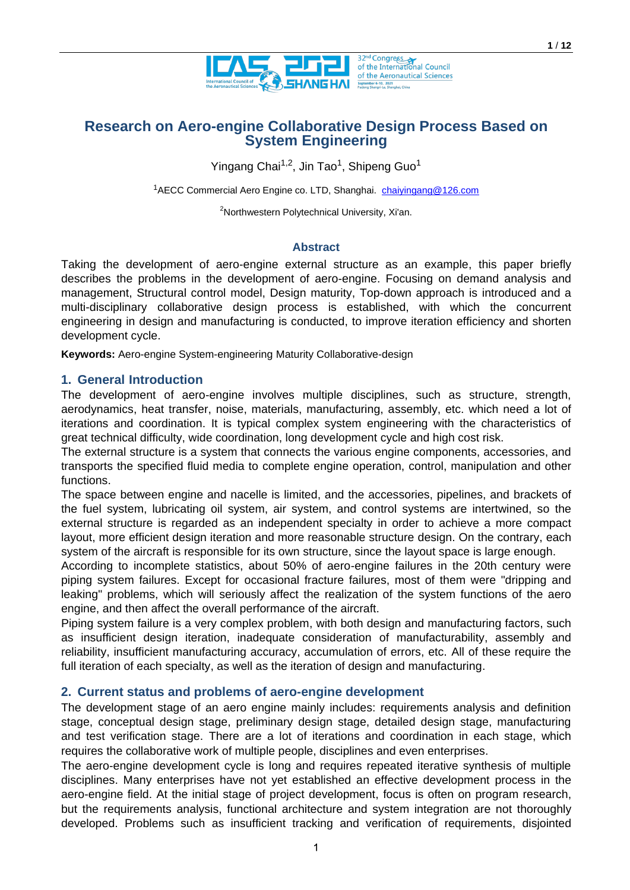

# **Research on Aero-engine Collaborative Design Process Based on System Engineering**

Yingang Chai<sup>1,2</sup>, Jin Tao<sup>1</sup>, Shipeng Guo<sup>1</sup>

<sup>1</sup>AECC Commercial Aero Engine co. LTD, Shanghai. [chaiyingang@126.com](mailto:chaiyingang@126.com)

<sup>2</sup>Northwestern Polytechnical University, Xi'an.

#### **Abstract**

Taking the development of aero-engine external structure as an example, this paper briefly describes the problems in the development of aero-engine. Focusing on demand analysis and management, Structural control model, Design maturity, Top-down approach is introduced and a multi-disciplinary collaborative design process is established, with which the concurrent engineering in design and manufacturing is conducted, to improve iteration efficiency and shorten development cycle.

**Keywords:** Aero-engine System-engineering Maturity Collaborative-design

## **1. General Introduction**

The development of aero-engine involves multiple disciplines, such as structure, strength, aerodynamics, heat transfer, noise, materials, manufacturing, assembly, etc. which need a lot of iterations and coordination. It is typical complex system engineering with the characteristics of great technical difficulty, wide coordination, long development cycle and high cost risk.

The external structure is a system that connects the various engine components, accessories, and transports the specified fluid media to complete engine operation, control, manipulation and other functions.

The space between engine and nacelle is limited, and the accessories, pipelines, and brackets of the fuel system, lubricating oil system, air system, and control systems are intertwined, so the external structure is regarded as an independent specialty in order to achieve a more compact layout, more efficient design iteration and more reasonable structure design. On the contrary, each system of the aircraft is responsible for its own structure, since the layout space is large enough.

According to incomplete statistics, about 50% of aero-engine failures in the 20th century were piping system failures. Except for occasional fracture failures, most of them were "dripping and leaking" problems, which will seriously affect the realization of the system functions of the aero engine, and then affect the overall performance of the aircraft.

Piping system failure is a very complex problem, with both design and manufacturing factors, such as insufficient design iteration, inadequate consideration of manufacturability, assembly and reliability, insufficient manufacturing accuracy, accumulation of errors, etc. All of these require the full iteration of each specialty, as well as the iteration of design and manufacturing.

## **2. Current status and problems of aero-engine development**

The development stage of an aero engine mainly includes: requirements analysis and definition stage, conceptual design stage, preliminary design stage, detailed design stage, manufacturing and test verification stage. There are a lot of iterations and coordination in each stage, which requires the collaborative work of multiple people, disciplines and even enterprises.

The aero-engine development cycle is long and requires repeated iterative synthesis of multiple disciplines. Many enterprises have not yet established an effective development process in the aero-engine field. At the initial stage of project development, focus is often on program research, but the requirements analysis, functional architecture and system integration are not thoroughly developed. Problems such as insufficient tracking and verification of requirements, disjointed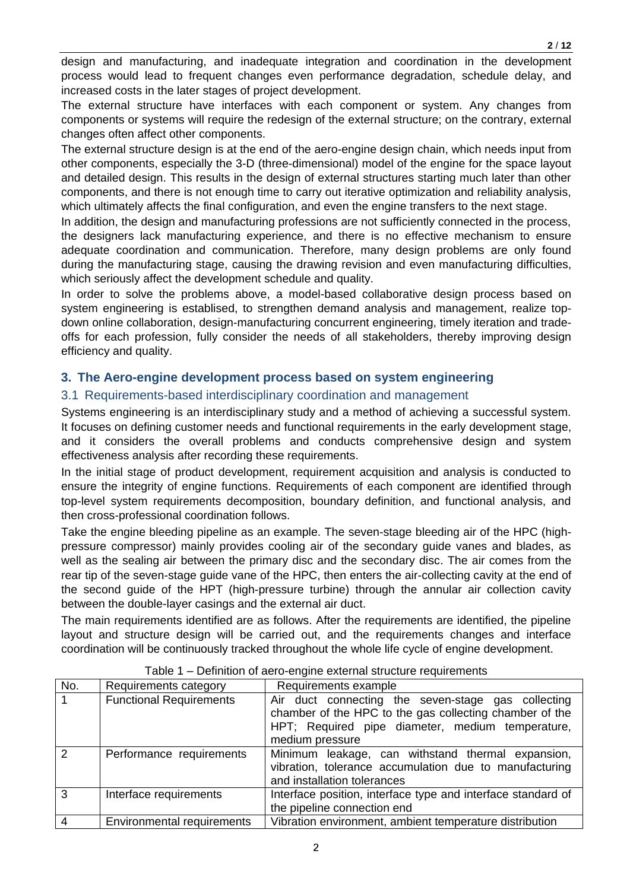design and manufacturing, and inadequate integration and coordination in the development process would lead to frequent changes even performance degradation, schedule delay, and increased costs in the later stages of project development.

The external structure have interfaces with each component or system. Any changes from components or systems will require the redesign of the external structure; on the contrary, external changes often affect other components.

The external structure design is at the end of the aero-engine design chain, which needs input from other components, especially the 3-D (three-dimensional) model of the engine for the space layout and detailed design. This results in the design of external structures starting much later than other components, and there is not enough time to carry out iterative optimization and reliability analysis, which ultimately affects the final configuration, and even the engine transfers to the next stage.

In addition, the design and manufacturing professions are not sufficiently connected in the process, the designers lack manufacturing experience, and there is no effective mechanism to ensure adequate coordination and communication. Therefore, many design problems are only found during the manufacturing stage, causing the drawing revision and even manufacturing difficulties, which seriously affect the development schedule and quality.

In order to solve the problems above, a model-based collaborative design process based on system engineering is establised, to strengthen demand analysis and management, realize topdown online collaboration, design-manufacturing concurrent engineering, timely iteration and tradeoffs for each profession, fully consider the needs of all stakeholders, thereby improving design efficiency and quality.

# **3. The Aero-engine development process based on system engineering**

## 3.1 Requirements-based interdisciplinary coordination and management

Systems engineering is an interdisciplinary study and a method of achieving a successful system. It focuses on defining customer needs and functional requirements in the early development stage, and it considers the overall problems and conducts comprehensive design and system effectiveness analysis after recording these requirements.

In the initial stage of product development, requirement acquisition and analysis is conducted to ensure the integrity of engine functions. Requirements of each component are identified through top-level system requirements decomposition, boundary definition, and functional analysis, and then cross-professional coordination follows.

Take the engine bleeding pipeline as an example. The seven-stage bleeding air of the HPC (highpressure compressor) mainly provides cooling air of the secondary guide vanes and blades, as well as the sealing air between the primary disc and the secondary disc. The air comes from the rear tip of the seven-stage guide vane of the HPC, then enters the air-collecting cavity at the end of the second guide of the HPT (high-pressure turbine) through the annular air collection cavity between the double-layer casings and the external air duct.

The main requirements identified are as follows. After the requirements are identified, the pipeline layout and structure design will be carried out, and the requirements changes and interface coordination will be continuously tracked throughout the whole life cycle of engine development.

| No.           | Requirements category             | Requirements example                                                                                                                                                                 |
|---------------|-----------------------------------|--------------------------------------------------------------------------------------------------------------------------------------------------------------------------------------|
|               | <b>Functional Requirements</b>    | Air duct connecting the seven-stage gas collecting<br>chamber of the HPC to the gas collecting chamber of the<br>HPT; Required pipe diameter, medium temperature,<br>medium pressure |
| $\mathcal{P}$ | Performance requirements          | Minimum leakage, can withstand thermal expansion,<br>vibration, tolerance accumulation due to manufacturing<br>and installation tolerances                                           |
| 3             | Interface requirements            | Interface position, interface type and interface standard of<br>the pipeline connection end                                                                                          |
|               | <b>Environmental requirements</b> | Vibration environment, ambient temperature distribution                                                                                                                              |

#### Table 1 – Definition of aero-engine external structure requirements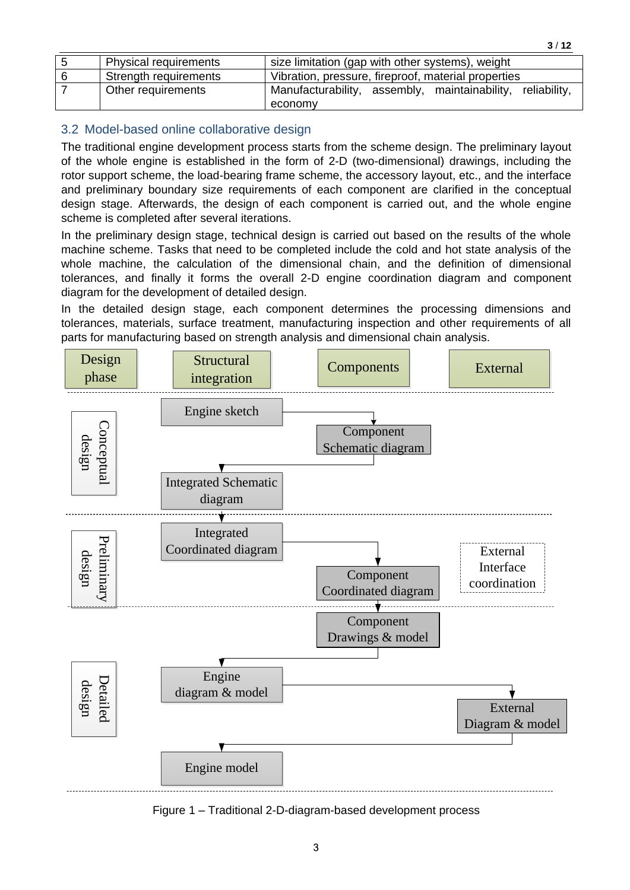| -5 | <b>Physical requirements</b> | size limitation (gap with other systems), weight           |  |  |  |
|----|------------------------------|------------------------------------------------------------|--|--|--|
| 6  | Strength requirements        | Vibration, pressure, fireproof, material properties        |  |  |  |
|    | Other requirements           | Manufacturability, assembly, maintainability, reliability, |  |  |  |
|    |                              | economy                                                    |  |  |  |

# 3.2 Model-based online collaborative design

The traditional engine development process starts from the scheme design. The preliminary layout of the whole engine is established in the form of 2-D (two-dimensional) drawings, including the rotor support scheme, the load-bearing frame scheme, the accessory layout, etc., and the interface and preliminary boundary size requirements of each component are clarified in the conceptual design stage. Afterwards, the design of each component is carried out, and the whole engine scheme is completed after several iterations.

In the preliminary design stage, technical design is carried out based on the results of the whole machine scheme. Tasks that need to be completed include the cold and hot state analysis of the whole machine, the calculation of the dimensional chain, and the definition of dimensional tolerances, and finally it forms the overall 2-D engine coordination diagram and component diagram for the development of detailed design.

In the detailed design stage, each component determines the processing dimensions and tolerances, materials, surface treatment, manufacturing inspection and other requirements of all parts for manufacturing based on strength analysis and dimensional chain analysis.



Figure 1 – Traditional 2-D-diagram-based development process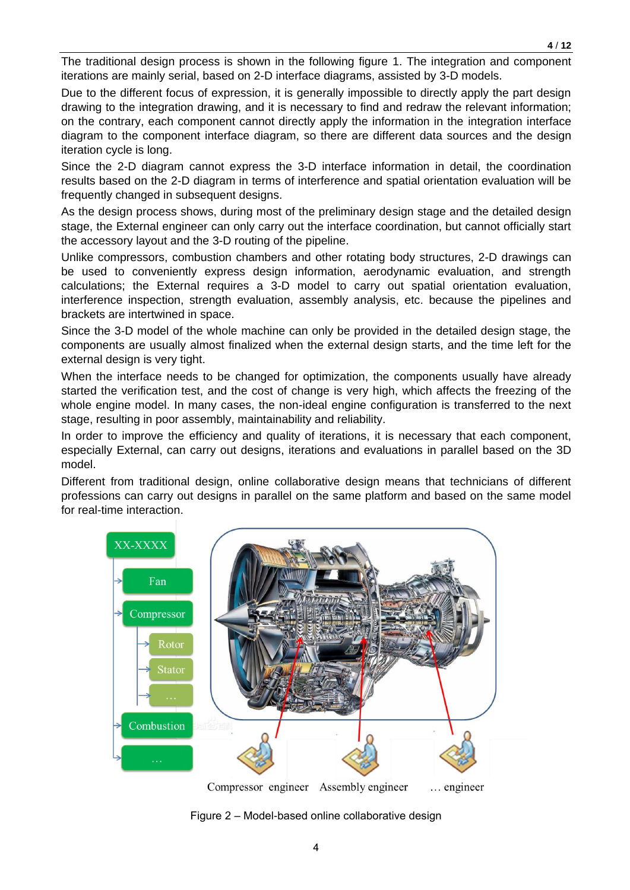The traditional design process is shown in the following figure 1. The integration and component iterations are mainly serial, based on 2-D interface diagrams, assisted by 3-D models.

Due to the different focus of expression, it is generally impossible to directly apply the part design drawing to the integration drawing, and it is necessary to find and redraw the relevant information; on the contrary, each component cannot directly apply the information in the integration interface diagram to the component interface diagram, so there are different data sources and the design iteration cycle is long.

Since the 2-D diagram cannot express the 3-D interface information in detail, the coordination results based on the 2-D diagram in terms of interference and spatial orientation evaluation will be frequently changed in subsequent designs.

As the design process shows, during most of the preliminary design stage and the detailed design stage, the External engineer can only carry out the interface coordination, but cannot officially start the accessory layout and the 3-D routing of the pipeline.

Unlike compressors, combustion chambers and other rotating body structures, 2-D drawings can be used to conveniently express design information, aerodynamic evaluation, and strength calculations; the External requires a 3-D model to carry out spatial orientation evaluation, interference inspection, strength evaluation, assembly analysis, etc. because the pipelines and brackets are intertwined in space.

Since the 3-D model of the whole machine can only be provided in the detailed design stage, the components are usually almost finalized when the external design starts, and the time left for the external design is very tight.

When the interface needs to be changed for optimization, the components usually have already started the verification test, and the cost of change is very high, which affects the freezing of the whole engine model. In many cases, the non-ideal engine configuration is transferred to the next stage, resulting in poor assembly, maintainability and reliability.

In order to improve the efficiency and quality of iterations, it is necessary that each component, especially External, can carry out designs, iterations and evaluations in parallel based on the 3D model.

Different from traditional design, online collaborative design means that technicians of different professions can carry out designs in parallel on the same platform and based on the same model for real-time interaction.



Figure 2 – Model-based online collaborative design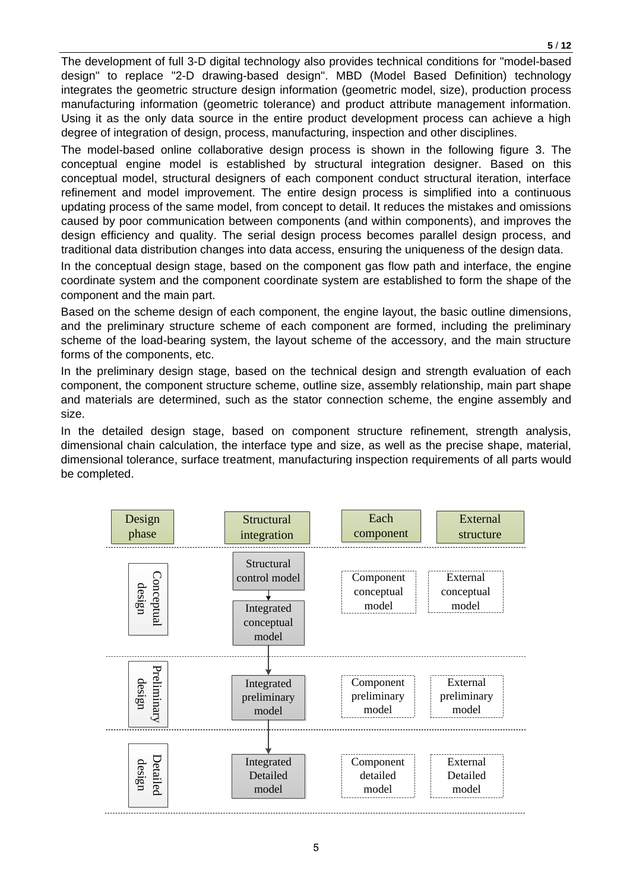The development of full 3-D digital technology also provides technical conditions for "model-based design" to replace "2-D drawing-based design". MBD (Model Based Definition) technology integrates the geometric structure design information (geometric model, size), production process manufacturing information (geometric tolerance) and product attribute management information. Using it as the only data source in the entire product development process can achieve a high degree of integration of design, process, manufacturing, inspection and other disciplines.

The model-based online collaborative design process is shown in the following figure 3. The conceptual engine model is established by structural integration designer. Based on this conceptual model, structural designers of each component conduct structural iteration, interface refinement and model improvement. The entire design process is simplified into a continuous updating process of the same model, from concept to detail. It reduces the mistakes and omissions caused by poor communication between components (and within components), and improves the design efficiency and quality. The serial design process becomes parallel design process, and traditional data distribution changes into data access, ensuring the uniqueness of the design data.

In the conceptual design stage, based on the component gas flow path and interface, the engine coordinate system and the component coordinate system are established to form the shape of the component and the main part.

Based on the scheme design of each component, the engine layout, the basic outline dimensions, and the preliminary structure scheme of each component are formed, including the preliminary scheme of the load-bearing system, the layout scheme of the accessory, and the main structure forms of the components, etc.

In the preliminary design stage, based on the technical design and strength evaluation of each component, the component structure scheme, outline size, assembly relationship, main part shape and materials are determined, such as the stator connection scheme, the engine assembly and size.

In the detailed design stage, based on component structure refinement, strength analysis, dimensional chain calculation, the interface type and size, as well as the precise shape, material, dimensional tolerance, surface treatment, manufacturing inspection requirements of all parts would be completed.

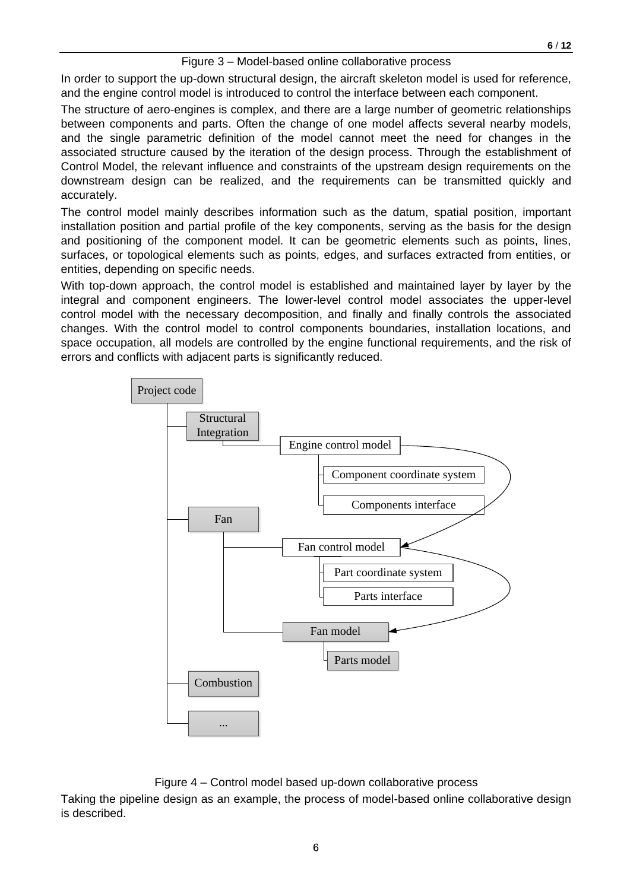#### Figure 3 – Model-based online collaborative process

In order to support the up-down structural design, the aircraft skeleton model is used for reference, and the engine control model is introduced to control the interface between each component.

The structure of aero-engines is complex, and there are a large number of geometric relationships between components and parts. Often the change of one model affects several nearby models, and the single parametric definition of the model cannot meet the need for changes in the associated structure caused by the iteration of the design process. Through the establishment of Control Model, the relevant influence and constraints of the upstream design requirements on the downstream design can be realized, and the requirements can be transmitted quickly and accurately.

The control model mainly describes information such as the datum, spatial position, important installation position and partial profile of the key components, serving as the basis for the design and positioning of the component model. It can be geometric elements such as points, lines, surfaces, or topological elements such as points, edges, and surfaces extracted from entities, or entities, depending on specific needs.

With top-down approach, the control model is established and maintained layer by layer by the integral and component engineers. The lower-level control model associates the upper-level control model with the necessary decomposition, and finally and finally controls the associated changes. With the control model to control components boundaries, installation locations, and space occupation, all models are controlled by the engine functional requirements, and the risk of errors and conflicts with adjacent parts is significantly reduced.



Figure 4 – Control model based up-down collaborative process

Taking the pipeline design as an example, the process of model-based online collaborative design is described.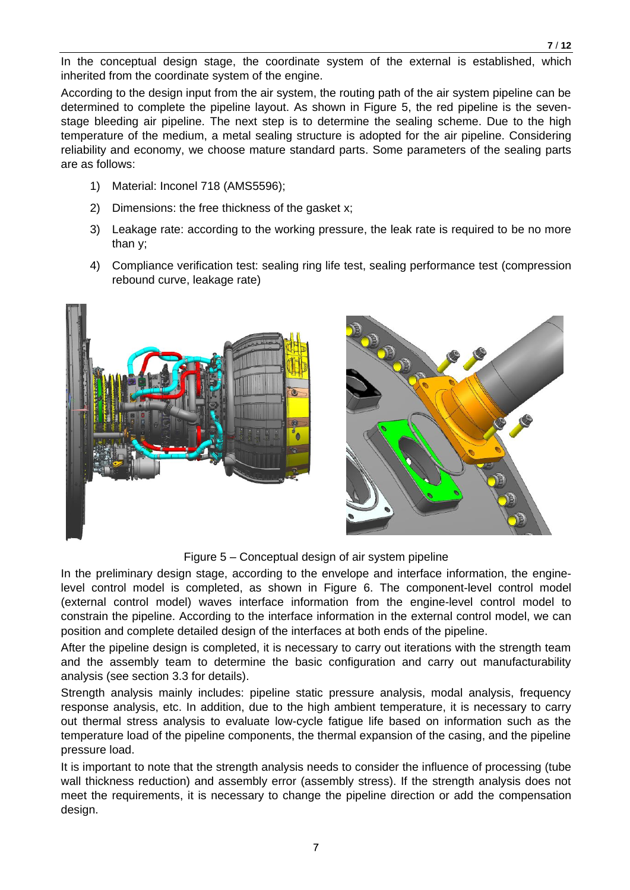In the conceptual design stage, the coordinate system of the external is established, which inherited from the coordinate system of the engine.

According to the design input from the air system, the routing path of the air system pipeline can be determined to complete the pipeline layout. As shown in Figure 5, the red pipeline is the sevenstage bleeding air pipeline. The next step is to determine the sealing scheme. Due to the high temperature of the medium, a metal sealing structure is adopted for the air pipeline. Considering reliability and economy, we choose mature standard parts. Some parameters of the sealing parts are as follows:

- 1) Material: Inconel 718 (AMS5596);
- 2) Dimensions: the free thickness of the gasket x;
- 3) Leakage rate: according to the working pressure, the leak rate is required to be no more than y;
- 4) Compliance verification test: sealing ring life test, sealing performance test (compression rebound curve, leakage rate)





Figure 5 – Conceptual design of air system pipeline

In the preliminary design stage, according to the envelope and interface information, the enginelevel control model is completed, as shown in Figure 6. The component-level control model (external control model) waves interface information from the engine-level control model to constrain the pipeline. According to the interface information in the external control model, we can position and complete detailed design of the interfaces at both ends of the pipeline.

After the pipeline design is completed, it is necessary to carry out iterations with the strength team and the assembly team to determine the basic configuration and carry out manufacturability analysis (see section 3.3 for details).

Strength analysis mainly includes: pipeline static pressure analysis, modal analysis, frequency response analysis, etc. In addition, due to the high ambient temperature, it is necessary to carry out thermal stress analysis to evaluate low-cycle fatigue life based on information such as the temperature load of the pipeline components, the thermal expansion of the casing, and the pipeline pressure load.

It is important to note that the strength analysis needs to consider the influence of processing (tube wall thickness reduction) and assembly error (assembly stress). If the strength analysis does not meet the requirements, it is necessary to change the pipeline direction or add the compensation design.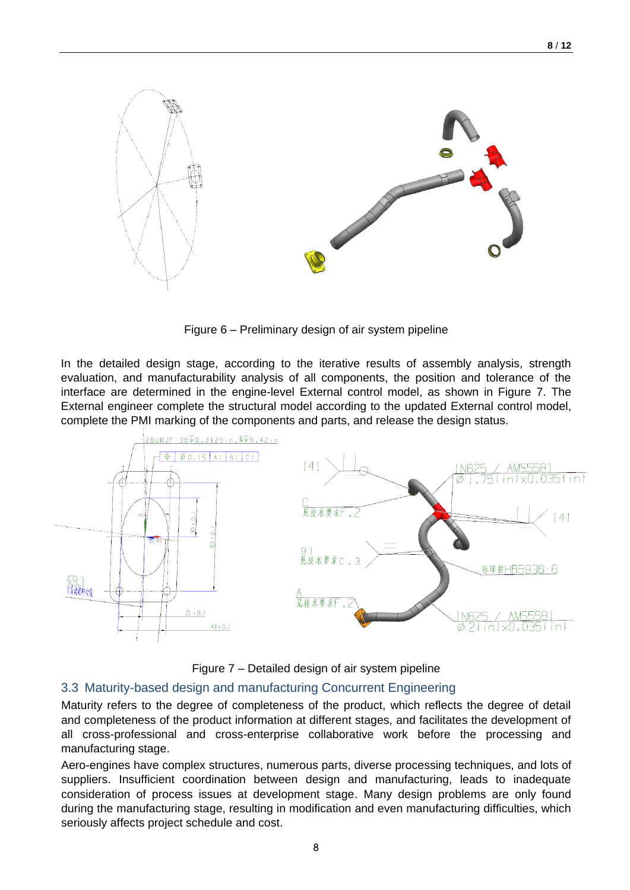

Figure 6 – Preliminary design of air system pipeline

In the detailed design stage, according to the iterative results of assembly analysis, strength evaluation, and manufacturability analysis of all components, the position and tolerance of the interface are determined in the engine-level External control model, as shown in Figure 7. The External engineer complete the structural model according to the updated External control model, complete the PMI marking of the components and parts, and release the design status.



Figure 7 – Detailed design of air system pipeline

# 3.3 Maturity-based design and manufacturing Concurrent Engineering

Maturity refers to the degree of completeness of the product, which reflects the degree of detail and completeness of the product information at different stages, and facilitates the development of all cross-professional and cross-enterprise collaborative work before the processing and manufacturing stage.

Aero-engines have complex structures, numerous parts, diverse processing techniques, and lots of suppliers. Insufficient coordination between design and manufacturing, leads to inadequate consideration of process issues at development stage. Many design problems are only found during the manufacturing stage, resulting in modification and even manufacturing difficulties, which seriously affects project schedule and cost.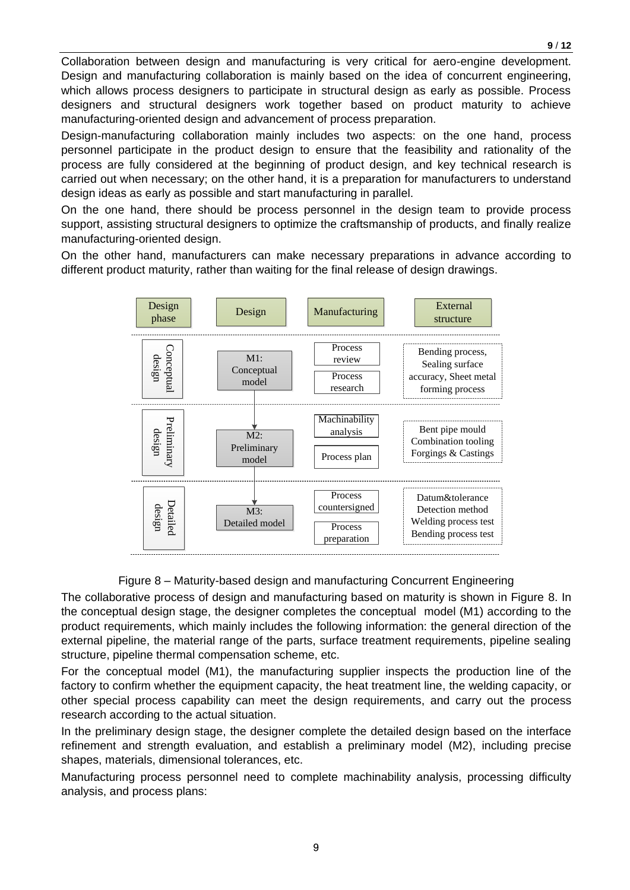Collaboration between design and manufacturing is very critical for aero-engine development. Design and manufacturing collaboration is mainly based on the idea of concurrent engineering, which allows process designers to participate in structural design as early as possible. Process designers and structural designers work together based on product maturity to achieve manufacturing-oriented design and advancement of process preparation.

Design-manufacturing collaboration mainly includes two aspects: on the one hand, process personnel participate in the product design to ensure that the feasibility and rationality of the process are fully considered at the beginning of product design, and key technical research is carried out when necessary; on the other hand, it is a preparation for manufacturers to understand design ideas as early as possible and start manufacturing in parallel.

On the one hand, there should be process personnel in the design team to provide process support, assisting structural designers to optimize the craftsmanship of products, and finally realize manufacturing-oriented design.

On the other hand, manufacturers can make necessary preparations in advance according to different product maturity, rather than waiting for the final release of design drawings.



## Figure 8 – Maturity-based design and manufacturing Concurrent Engineering

The collaborative process of design and manufacturing based on maturity is shown in Figure 8. In the conceptual design stage, the designer completes the conceptual model (M1) according to the product requirements, which mainly includes the following information: the general direction of the external pipeline, the material range of the parts, surface treatment requirements, pipeline sealing structure, pipeline thermal compensation scheme, etc.

For the conceptual model (M1), the manufacturing supplier inspects the production line of the factory to confirm whether the equipment capacity, the heat treatment line, the welding capacity, or other special process capability can meet the design requirements, and carry out the process research according to the actual situation.

In the preliminary design stage, the designer complete the detailed design based on the interface refinement and strength evaluation, and establish a preliminary model (M2), including precise shapes, materials, dimensional tolerances, etc.

Manufacturing process personnel need to complete machinability analysis, processing difficulty analysis, and process plans: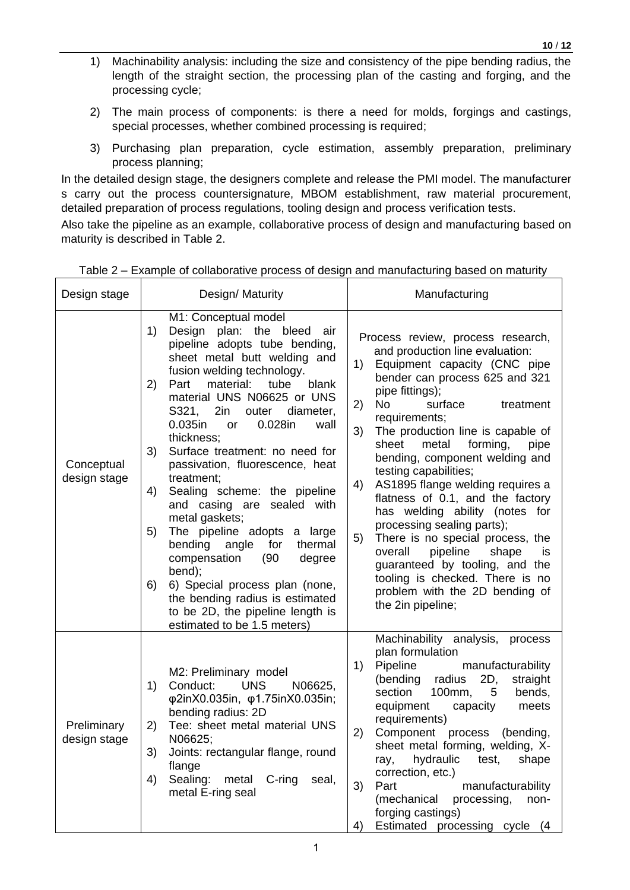- 1) Machinability analysis: including the size and consistency of the pipe bending radius, the length of the straight section, the processing plan of the casting and forging, and the processing cycle;
- 2) The main process of components: is there a need for molds, forgings and castings, special processes, whether combined processing is required;
- 3) Purchasing plan preparation, cycle estimation, assembly preparation, preliminary process planning;

In the detailed design stage, the designers complete and release the PMI model. The manufacturer s carry out the process countersignature, MBOM establishment, raw material procurement, detailed preparation of process regulations, tooling design and process verification tests.

Also take the pipeline as an example, collaborative process of design and manufacturing based on maturity is described in Table 2.

| Design stage                | Design/ Maturity                                                                                                                                                                                                                                                                                                                                                                                                                                                                                                                                                                                                                                                                                                                                                                 | Manufacturing                                                                                                                                                                                                                                                                                                                                                                                                                                                                                                                                                                                                                                                                                                                     |
|-----------------------------|----------------------------------------------------------------------------------------------------------------------------------------------------------------------------------------------------------------------------------------------------------------------------------------------------------------------------------------------------------------------------------------------------------------------------------------------------------------------------------------------------------------------------------------------------------------------------------------------------------------------------------------------------------------------------------------------------------------------------------------------------------------------------------|-----------------------------------------------------------------------------------------------------------------------------------------------------------------------------------------------------------------------------------------------------------------------------------------------------------------------------------------------------------------------------------------------------------------------------------------------------------------------------------------------------------------------------------------------------------------------------------------------------------------------------------------------------------------------------------------------------------------------------------|
| Conceptual<br>design stage  | M1: Conceptual model<br>1)<br>Design plan: the bleed<br>air<br>pipeline adopts tube bending,<br>sheet metal butt welding and<br>fusion welding technology.<br>Part<br>material:<br>tube<br>2)<br>blank<br>material UNS N06625 or UNS<br>S321, 2in<br>outer<br>diameter,<br>0.028in<br>0.035in<br>wall<br>or<br>thickness;<br>3)<br>Surface treatment: no need for<br>passivation, fluorescence, heat<br>treatment;<br>4)<br>Sealing scheme: the pipeline<br>and casing are<br>sealed with<br>metal gaskets;<br>The pipeline adopts a large<br>5)<br>bending<br>thermal<br>angle<br>for<br>compensation<br>(90)<br>degree<br>bend);<br>6) Special process plan (none,<br>6)<br>the bending radius is estimated<br>to be 2D, the pipeline length is<br>estimated to be 1.5 meters) | Process review, process research,<br>and production line evaluation:<br>1)<br>Equipment capacity (CNC pipe<br>bender can process 625 and 321<br>pipe fittings);<br>2)<br><b>No</b><br>surface<br>treatment<br>requirements;<br>The production line is capable of<br>3)<br>metal<br>forming,<br>sheet<br>pipe<br>bending, component welding and<br>testing capabilities;<br>AS1895 flange welding requires a<br>4)<br>flatness of 0.1, and the factory<br>has welding ability (notes for<br>processing sealing parts);<br>There is no special process, the<br>5)<br>overall<br>pipeline<br>shape<br>is<br>guaranteed by tooling, and the<br>tooling is checked. There is no<br>problem with the 2D bending of<br>the 2in pipeline; |
| Preliminary<br>design stage | M2: Preliminary model<br><b>UNS</b><br>1)<br>Conduct:<br>N06625,<br>φ2inX0.035in, φ1.75inX0.035in;<br>bending radius: 2D<br>Tee: sheet metal material UNS<br>2)<br>N06625;<br>3)<br>Joints: rectangular flange, round<br>flange<br>4)<br>Sealing:<br>$C$ -ring<br>metal<br>seal,<br>metal E-ring seal                                                                                                                                                                                                                                                                                                                                                                                                                                                                            | Machinability analysis, process<br>plan formulation<br>Pipeline<br>1)<br>manufacturability<br>2D,<br>(bending<br>radius<br>straight<br>section<br>100mm,<br>bends,<br>5<br>equipment<br>capacity<br>meets<br>requirements)<br>2)<br>Component<br>process<br>(bending,<br>sheet metal forming, welding, X-<br>hydraulic<br>test,<br>shape<br>ray,<br>correction, etc.)<br>3)<br>Part<br>manufacturability<br>(mechanical processing,<br>non-<br>forging castings)<br>4)<br>Estimated processing cycle (4                                                                                                                                                                                                                           |

# Table 2 – Example of collaborative process of design and manufacturing based on maturity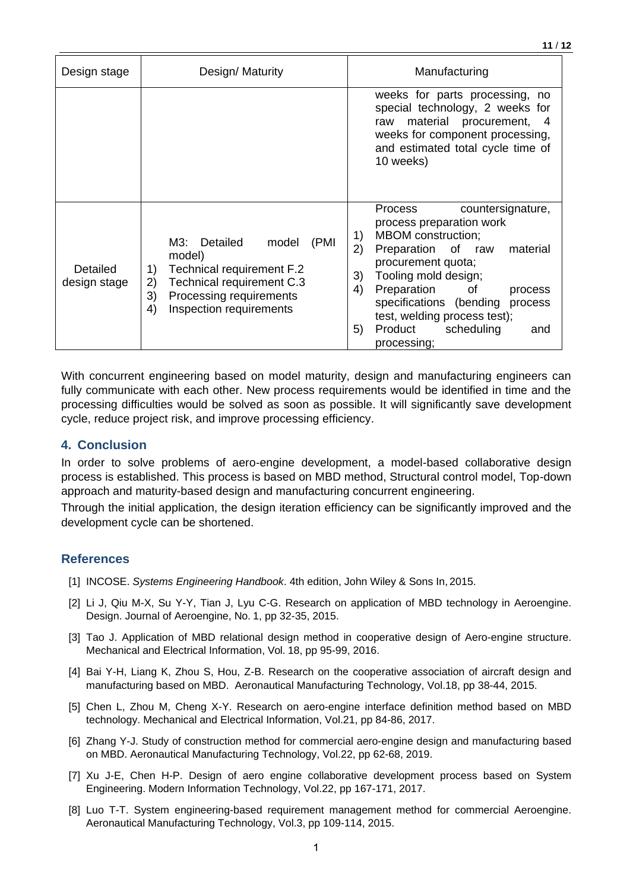| Design/ Maturity<br>Design stage |                                                                                                                                                                                 | Manufacturing                                                                                                                                                                                                                                                                                                                                               |
|----------------------------------|---------------------------------------------------------------------------------------------------------------------------------------------------------------------------------|-------------------------------------------------------------------------------------------------------------------------------------------------------------------------------------------------------------------------------------------------------------------------------------------------------------------------------------------------------------|
|                                  |                                                                                                                                                                                 | weeks for parts processing, no<br>special technology, 2 weeks for<br>material procurement, 4<br>raw<br>weeks for component processing,<br>and estimated total cycle time of<br>10 weeks)                                                                                                                                                                    |
| Detailed<br>design stage         | M3: Detailed<br>(PMI<br>model<br>model)<br>Technical requirement F.2<br>1)<br>Technical requirement C.3<br>2)<br>3)<br>Processing requirements<br>Inspection requirements<br>4) | Process<br>countersignature,<br>process preparation work<br><b>MBOM</b> construction;<br>1)<br>2)<br>Preparation of<br>material<br>raw<br>procurement quota;<br>Tooling mold design;<br>3)<br>Preparation<br>4)<br>of<br>process<br>specifications (bending<br>process<br>test, welding process test);<br>Product<br>scheduling<br>5)<br>and<br>processing; |

With concurrent engineering based on model maturity, design and manufacturing engineers can fully communicate with each other. New process requirements would be identified in time and the processing difficulties would be solved as soon as possible. It will significantly save development cycle, reduce project risk, and improve processing efficiency.

## **4. Conclusion**

In order to solve problems of aero-engine development, a model-based collaborative design process is established. This process is based on MBD method, Structural control model, Top-down approach and maturity-based design and manufacturing concurrent engineering.

Through the initial application, the design iteration efficiency can be significantly improved and the development cycle can be shortened.

## **References**

- [1] INCOSE. *Systems Engineering Handbook*. 4th edition, John Wiley & Sons In, 2015.
- [2] Li J, Qiu M-X, Su Y-Y, Tian J, Lyu C-G. Research on application of MBD technology in Aeroengine. Design. Journal of Aeroengine, No. 1, pp 32-35, 2015.
- [3] Tao J. Application of MBD relational design method in cooperative design of Aero-engine structure. Mechanical and Electrical Information, Vol. 18, pp 95-99, 2016.
- [4] Bai Y-H, Liang K, Zhou S, Hou, Z-B. Research on the cooperative association of aircraft design and manufacturing based on MBD. Aeronautical Manufacturing Technology, Vol.18, pp 38-44, 2015.
- [5] Chen L, Zhou M, Cheng X-Y. Research on aero-engine interface definition method based on MBD technology. Mechanical and Electrical Information, Vol.21, pp 84-86, 2017.
- [6] Zhang Y-J. Study of construction method for commercial aero-engine design and manufacturing based on MBD. Aeronautical Manufacturing Technology, Vol.22, pp 62-68, 2019.
- [7] Xu J-E, Chen H-P. Design of aero engine collaborative development process based on System Engineering. Modern Information Technology, Vol.22, pp 167-171, 2017.
- [8] Luo T-T. System engineering-based requirement management method for commercial Aeroengine. Aeronautical Manufacturing Technology, Vol.3, pp 109-114, 2015.